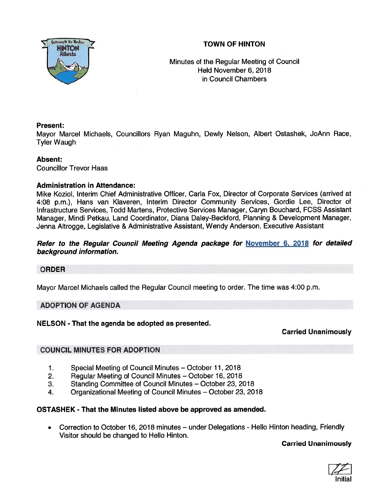# TOWN OF HINTON



Minutes of the Regular Meeting of Council Held November 6, 2018 in Council Chambers

## Present:

Mayor Marcel Michaels, Councillors Ryan Maguhn, Dewly Nelson, Albert Ostashek, JoAnn Race, Tyler Waugh

## Absent:

Councillor Trevor Haas

## Administration in Attendance:

Mike Koziol, Interim Chief Administrative Officer, Carla Fox, Director of Corporate Services (arrived at 4:08 p.m.), Hans van Kiaveren, Interim Director Community Services, Gordie Lee, Director of Infrastructure Services, Todd Martens, Protective Services Manager, Caryn Bouchard, FCSS Assistant Manager, Mmdi Petkau, Land Coordinator, Diana Daley-Beckford, Planning & Development Manager, Jenna Altrogge, Legislative & Administrative Assistant, Wendy Anderson, Executive Assistant

## Refer to the Regular Council Meeting Agenda package for November 6, 2018 for detailed background information.

## ORDER

Mayor Marcel Michaels called the Regular Council meeting to order. The time was 4:00 p.m.

## ADOPTION OF AGENDA

## NELSON - That the agenda be adopted as presented.

Carried Unanimously

# COUNCIL MINUTES FOR ADOPTION

- 1. Special Meeting of Council Minutes October 11, 2018
- 2. Regular Meeting of Council Minutes October 16, 2018
- 3. Standing Committee of Council Minutes October 23, 2018
- 4. Organizational Meeting of Council Minutes October 23, 2018

## OSTASHEK -That the Minutes listed above be approved as amended.

 $\bullet$  Correction to October 16, 2018 minutes — under Delegations - Hello Hinton heading, Friendly Visitor should be changed to Hello Hinton.

Carried Unanimously

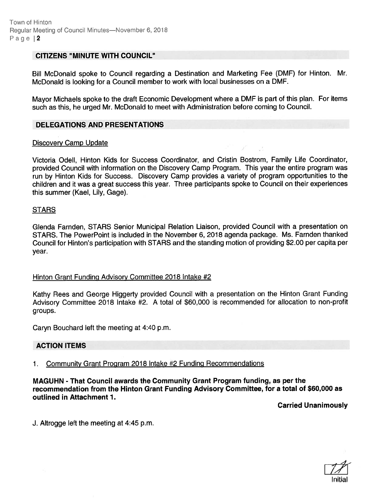#### CITIZENS "MINUTE WITH COUNCIL"

Bill McDonald spoke to Council regarding <sup>a</sup> Destination and Marketing Fee (DMF) for Hinton. Mr. McDonald is looking for <sup>a</sup> Council member to work with local businesses on <sup>a</sup> DMF.

Mayor Michaels spoke to the draft Economic Development where <sup>a</sup> DMF is par<sup>t</sup> of this <sup>p</sup>lan. For items such as this, he urged Mr. McDonald to meet with Administration before coming to Council.

#### DELEGATIONS AND PRESENTATIONS

#### Discovery Camp Update

Victoria Odell, Hinton Kids for Success Coordinator, and Cristin Bostrom, Family Life Coordinator, provided Council with information on the Discovery Camp Program. This year the entire program was run by Hinton Kids for Success. Discovery Camp provides <sup>a</sup> variety of program opportunities to the children and it was <sup>a</sup> grea<sup>t</sup> success this year. Three participants spoke to Council on their experiences this summer (Kael, Lily, Gage).

#### **STARS**

Glenda Farnden, STARS Senior Municipal Relation Liaison, provided Council with <sup>a</sup> presentation on STARS. The PowerPoint is included in the November 6, 2018 agenda package. Ms. Farnden thanked Council for Hinton's participation with STARS and the standing motion of providing \$2.00 per capita per year.

#### Hinton Grant Funding Advisory Committee 2018 Intake #2

Kathy Rees and George Higgerty provided Council with <sup>a</sup> presentation on the Hinton Grant Funding Advisory Committee 2018 Intake #2. <sup>A</sup> total of \$60,000 is recommended for allocation to non-profit groups.

Caryn Bouchard left the meeting at 4:40 p.m.

#### ACTION ITEMS

1. Community Grant Program 2018 Intake #2 Funding Recommendations

MAGUHN - That Council awards the Community Grant Program funding, as per the recommendation from the Hinton Grant Funding Advisory Committee, for <sup>a</sup> total of \$60,000 as outlined in Attachment 1.

Carried Unanimously

J. Altrogge left the meeting at 4:45 p.m.

 $11$ Initial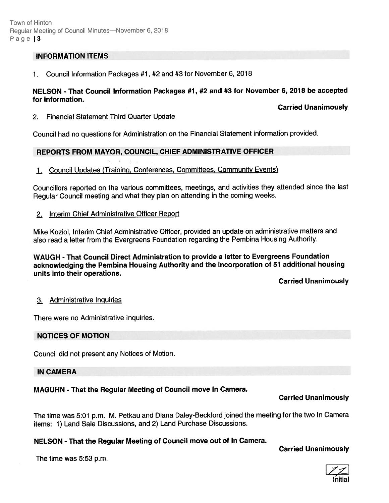### INFORMATION ITEMS

1. Council Information Packages #1, #2 and #3 for November 6, 2018

### NELSON - That Council Information Packages #1, #2 and #3 for November 6, <sup>2018</sup> be accepted for information.

### Carried Unanimously

2. Financial Statement Third Quarter Update

Council had no questions for Administration on the Financial Statement information provided.

### REPORTS FROM MAYOR, COUNCIL, CHIEF ADMINISTRATIVE OFFICER

1. Council Updates (Training, Conferences, Committees, Community Events)

Councillors reported on the various committees, meetings, and activities they attended since the last Regular Council meeting and what they <sup>p</sup>lan on attending in the coming weeks.

2. Interim Chief Administrative Officer Report

Mike Koziol, Interim Chief Administrative Officer, provided an update on administrative matters and also read <sup>a</sup> letter from the Evergreens Foundation regarding the Pembina Housing Authority.

WAUGH - That Council Direct Administration to provide <sup>a</sup> letter to Evergreens Foundation acknowledging the Pembina Housing Authority and the incorporation of <sup>51</sup> additional housing units into their operations.

Carried Unanimously

#### 3. Administrative Inquiries

There were no Administrative Inquiries.

#### NOTICES OF MOTION

Council did not presen<sup>t</sup> any Notices of Motion.

#### IN CAMERA

## MAGUHN - That the Regular Meeting of Council move In Camera.

#### Carried Unanimously

The time was 5:01 p.m. M. Petkau and Diana Daley-Beckford joined the meeting for the two In Camera items: 1) Land Sale Discussions, and 2) Land Purchase Discussions.

### NELSON - That the Regular Meeting of Council move out of In Camera.

The time was 5:53 p.m.

## Carried Unanimously